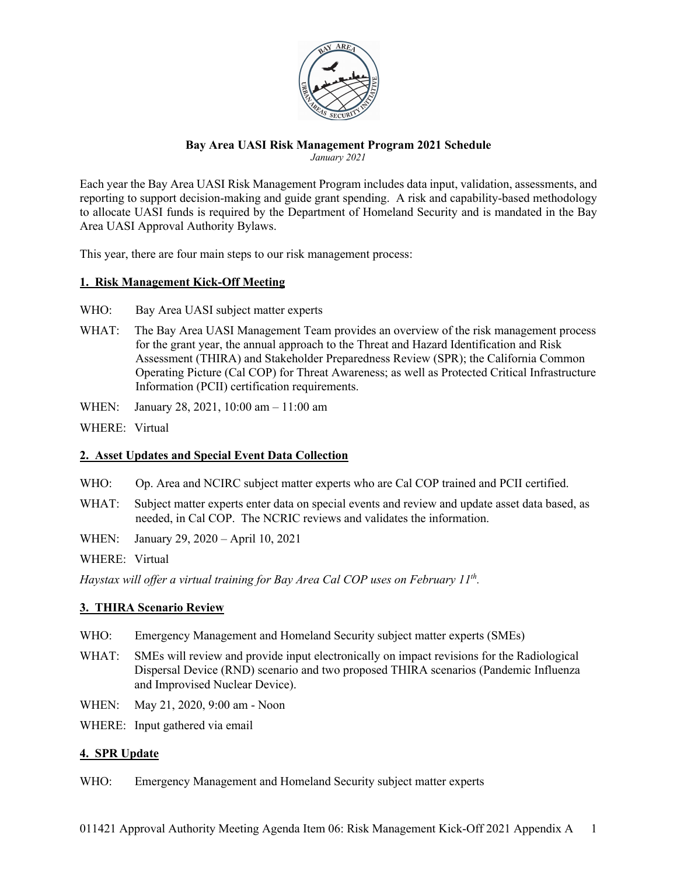

#### **Bay Area UASI Risk Management Program 2021 Schedule** *January 2021*

Each year the Bay Area UASI Risk Management Program includes data input, validation, assessments, and reporting to support decision-making and guide grant spending. A risk and capability-based methodology to allocate UASI funds is required by the Department of Homeland Security and is mandated in the Bay Area UASI Approval Authority Bylaws.

This year, there are four main steps to our risk management process:

## **1. Risk Management Kick-Off Meeting**

- WHO: Bay Area UASI subject matter experts
- WHAT: The Bay Area UASI Management Team provides an overview of the risk management process for the grant year, the annual approach to the Threat and Hazard Identification and Risk Assessment (THIRA) and Stakeholder Preparedness Review (SPR); the California Common Operating Picture (Cal COP) for Threat Awareness; as well as Protected Critical Infrastructure Information (PCII) certification requirements.
- WHEN: January 28, 2021, 10:00 am 11:00 am
- WHERE: Virtual

### **2. Asset Updates and Special Event Data Collection**

- WHO: Op. Area and NCIRC subject matter experts who are Cal COP trained and PCII certified.
- WHAT: Subject matter experts enter data on special events and review and update asset data based, as needed, in Cal COP. The NCRIC reviews and validates the information.
- WHEN: January 29, 2020 April 10, 2021

WHERE: Virtual

*Haystax will offer a virtual training for Bay Area Cal COP uses on February 11th.*

# **3. THIRA Scenario Review**

- WHO: Emergency Management and Homeland Security subject matter experts (SMEs)
- WHAT: SMEs will review and provide input electronically on impact revisions for the Radiological Dispersal Device (RND) scenario and two proposed THIRA scenarios (Pandemic Influenza and Improvised Nuclear Device).
- WHEN: May 21, 2020, 9:00 am Noon
- WHERE: Input gathered via email

### **4. SPR Update**

WHO: Emergency Management and Homeland Security subject matter experts